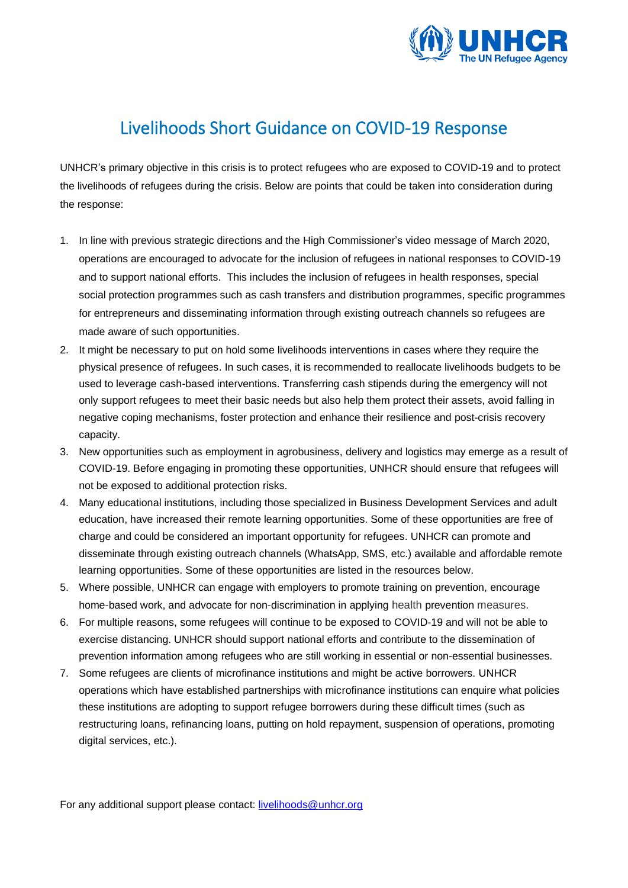

## Livelihoods Short Guidance on COVID-19 Response

UNHCR's primary objective in this crisis is to protect refugees who are exposed to COVID-19 and to protect the livelihoods of refugees during the crisis. Below are points that could be taken into consideration during the response:

- 1. In line with previous strategic directions and the High Commissioner's video message of March 2020, operations are encouraged to advocate for the inclusion of refugees in national responses to COVID-19 and to support national efforts. This includes the inclusion of refugees in health responses, special social protection programmes such as cash transfers and distribution programmes, specific programmes for entrepreneurs and disseminating information through existing outreach channels so refugees are made aware of such opportunities.
- 2. It might be necessary to put on hold some livelihoods interventions in cases where they require the physical presence of refugees. In such cases, it is recommended to reallocate livelihoods budgets to be used to leverage cash-based interventions. Transferring cash stipends during the emergency will not only support refugees to meet their basic needs but also help them protect their assets, avoid falling in negative coping mechanisms, foster protection and enhance their resilience and post-crisis recovery capacity.
- 3. New opportunities such as employment in agrobusiness, delivery and logistics may emerge as a result of COVID-19. Before engaging in promoting these opportunities, UNHCR should ensure that refugees will not be exposed to additional protection risks.
- 4. Many educational institutions, including those specialized in Business Development Services and adult education, have increased their remote learning opportunities. Some of these opportunities are free of charge and could be considered an important opportunity for refugees. UNHCR can promote and disseminate through existing outreach channels (WhatsApp, SMS, etc.) available and affordable remote learning opportunities. Some of these opportunities are listed in the resources below.
- 5. Where possible, UNHCR can engage with employers to promote training on prevention, encourage home-based work, and advocate for non-discrimination in applying health prevention measures.
- 6. For multiple reasons, some refugees will continue to be exposed to COVID-19 and will not be able to exercise distancing. UNHCR should support national efforts and contribute to the dissemination of prevention information among refugees who are still working in essential or non-essential businesses.
- 7. Some refugees are clients of microfinance institutions and might be active borrowers. UNHCR operations which have established partnerships with microfinance institutions can enquire what policies these institutions are adopting to support refugee borrowers during these difficult times (such as restructuring loans, refinancing loans, putting on hold repayment, suspension of operations, promoting digital services, etc.).